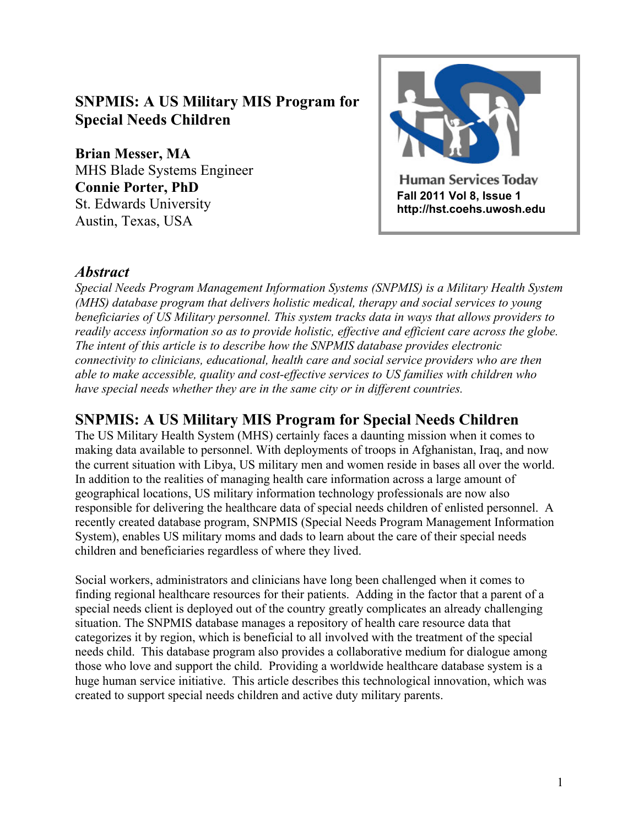# **SNPMIS: A US Military MIS Program for Special Needs Children**

**Brian Messer, MA**  MHS Blade Systems Engineer **Connie Porter, PhD**  St. Edwards University Austin, Texas, USA



#### *Abstract*

*Special Needs Program Management Information Systems (SNPMIS) is a Military Health System (MHS) database program that delivers holistic medical, therapy and social services to young beneficiaries of US Military personnel. This system tracks data in ways that allows providers to readily access information so as to provide holistic, effective and efficient care across the globe. The intent of this article is to describe how the SNPMIS database provides electronic connectivity to clinicians, educational, health care and social service providers who are then able to make accessible, quality and cost-effective services to US families with children who have special needs whether they are in the same city or in different countries.*

## **SNPMIS: A US Military MIS Program for Special Needs Children**

The US Military Health System (MHS) certainly faces a daunting mission when it comes to making data available to personnel. With deployments of troops in Afghanistan, Iraq, and now the current situation with Libya, US military men and women reside in bases all over the world. In addition to the realities of managing health care information across a large amount of geographical locations, US military information technology professionals are now also responsible for delivering the healthcare data of special needs children of enlisted personnel. A recently created database program, SNPMIS (Special Needs Program Management Information System), enables US military moms and dads to learn about the care of their special needs children and beneficiaries regardless of where they lived.

Social workers, administrators and clinicians have long been challenged when it comes to finding regional healthcare resources for their patients. Adding in the factor that a parent of a special needs client is deployed out of the country greatly complicates an already challenging situation. The SNPMIS database manages a repository of health care resource data that categorizes it by region, which is beneficial to all involved with the treatment of the special needs child. This database program also provides a collaborative medium for dialogue among those who love and support the child. Providing a worldwide healthcare database system is a huge human service initiative. This article describes this technological innovation, which was created to support special needs children and active duty military parents.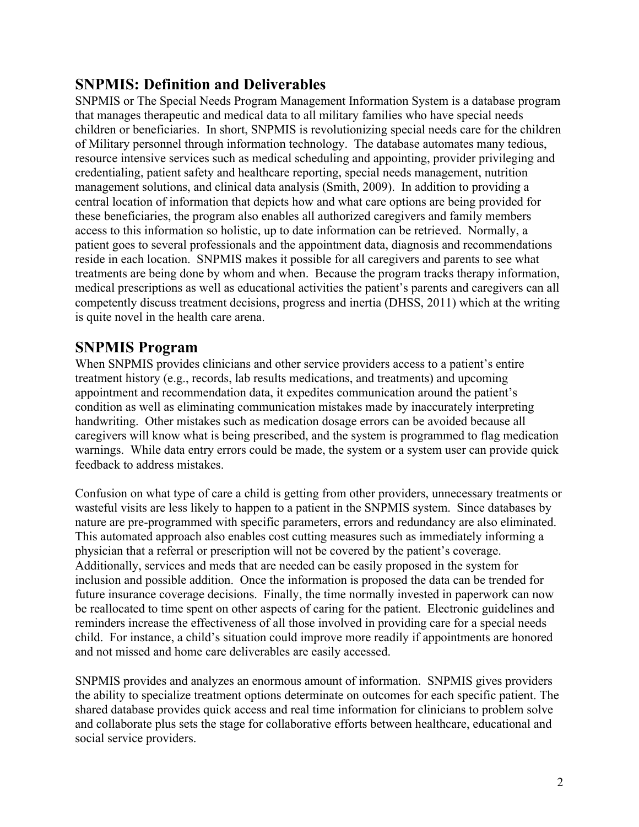# **SNPMIS: Definition and Deliverables**

SNPMIS or The Special Needs Program Management Information System is a database program that manages therapeutic and medical data to all military families who have special needs children or beneficiaries. In short, SNPMIS is revolutionizing special needs care for the children of Military personnel through information technology. The database automates many tedious, resource intensive services such as medical scheduling and appointing, provider privileging and credentialing, patient safety and healthcare reporting, special needs management, nutrition management solutions, and clinical data analysis (Smith, 2009). In addition to providing a central location of information that depicts how and what care options are being provided for these beneficiaries, the program also enables all authorized caregivers and family members access to this information so holistic, up to date information can be retrieved. Normally, a patient goes to several professionals and the appointment data, diagnosis and recommendations reside in each location. SNPMIS makes it possible for all caregivers and parents to see what treatments are being done by whom and when. Because the program tracks therapy information, medical prescriptions as well as educational activities the patient's parents and caregivers can all competently discuss treatment decisions, progress and inertia (DHSS, 2011) which at the writing is quite novel in the health care arena.

### **SNPMIS Program**

When SNPMIS provides clinicians and other service providers access to a patient's entire treatment history (e.g., records, lab results medications, and treatments) and upcoming appointment and recommendation data, it expedites communication around the patient's condition as well as eliminating communication mistakes made by inaccurately interpreting handwriting. Other mistakes such as medication dosage errors can be avoided because all caregivers will know what is being prescribed, and the system is programmed to flag medication warnings. While data entry errors could be made, the system or a system user can provide quick feedback to address mistakes.

Confusion on what type of care a child is getting from other providers, unnecessary treatments or wasteful visits are less likely to happen to a patient in the SNPMIS system. Since databases by nature are pre-programmed with specific parameters, errors and redundancy are also eliminated. This automated approach also enables cost cutting measures such as immediately informing a physician that a referral or prescription will not be covered by the patient's coverage. Additionally, services and meds that are needed can be easily proposed in the system for inclusion and possible addition. Once the information is proposed the data can be trended for future insurance coverage decisions. Finally, the time normally invested in paperwork can now be reallocated to time spent on other aspects of caring for the patient. Electronic guidelines and reminders increase the effectiveness of all those involved in providing care for a special needs child. For instance, a child's situation could improve more readily if appointments are honored and not missed and home care deliverables are easily accessed.

SNPMIS provides and analyzes an enormous amount of information. SNPMIS gives providers the ability to specialize treatment options determinate on outcomes for each specific patient. The shared database provides quick access and real time information for clinicians to problem solve and collaborate plus sets the stage for collaborative efforts between healthcare, educational and social service providers.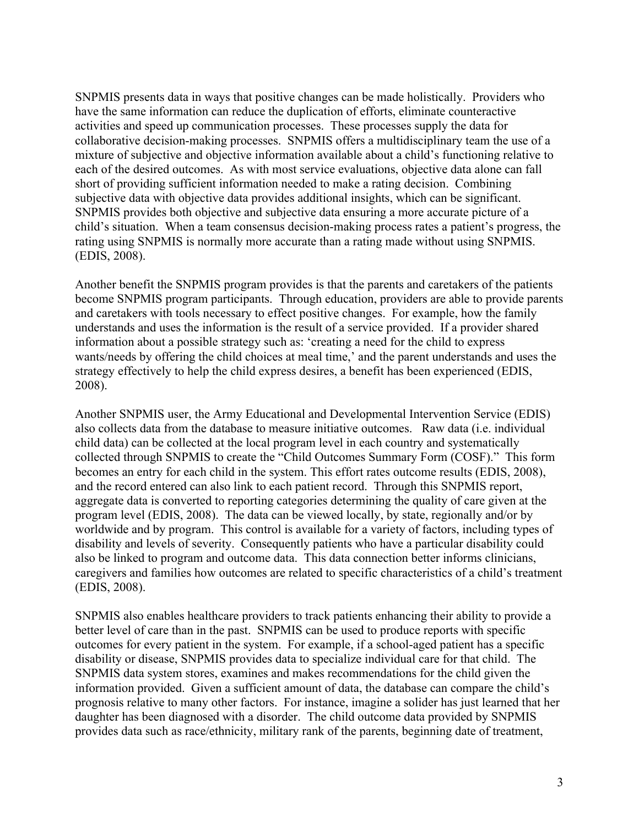SNPMIS presents data in ways that positive changes can be made holistically. Providers who have the same information can reduce the duplication of efforts, eliminate counteractive activities and speed up communication processes. These processes supply the data for collaborative decision-making processes. SNPMIS offers a multidisciplinary team the use of a mixture of subjective and objective information available about a child's functioning relative to each of the desired outcomes. As with most service evaluations, objective data alone can fall short of providing sufficient information needed to make a rating decision. Combining subjective data with objective data provides additional insights, which can be significant. SNPMIS provides both objective and subjective data ensuring a more accurate picture of a child's situation. When a team consensus decision-making process rates a patient's progress, the rating using SNPMIS is normally more accurate than a rating made without using SNPMIS. (EDIS, 2008).

Another benefit the SNPMIS program provides is that the parents and caretakers of the patients become SNPMIS program participants. Through education, providers are able to provide parents and caretakers with tools necessary to effect positive changes. For example, how the family understands and uses the information is the result of a service provided. If a provider shared information about a possible strategy such as: 'creating a need for the child to express wants/needs by offering the child choices at meal time,' and the parent understands and uses the strategy effectively to help the child express desires, a benefit has been experienced (EDIS, 2008).

Another SNPMIS user, the Army Educational and Developmental Intervention Service (EDIS) also collects data from the database to measure initiative outcomes. Raw data (i.e. individual child data) can be collected at the local program level in each country and systematically collected through SNPMIS to create the "Child Outcomes Summary Form (COSF)." This form becomes an entry for each child in the system. This effort rates outcome results (EDIS, 2008), and the record entered can also link to each patient record. Through this SNPMIS report, aggregate data is converted to reporting categories determining the quality of care given at the program level (EDIS, 2008). The data can be viewed locally, by state, regionally and/or by worldwide and by program. This control is available for a variety of factors, including types of disability and levels of severity. Consequently patients who have a particular disability could also be linked to program and outcome data. This data connection better informs clinicians, caregivers and families how outcomes are related to specific characteristics of a child's treatment (EDIS, 2008).

SNPMIS also enables healthcare providers to track patients enhancing their ability to provide a better level of care than in the past. SNPMIS can be used to produce reports with specific outcomes for every patient in the system. For example, if a school-aged patient has a specific disability or disease, SNPMIS provides data to specialize individual care for that child. The SNPMIS data system stores, examines and makes recommendations for the child given the information provided. Given a sufficient amount of data, the database can compare the child's prognosis relative to many other factors. For instance, imagine a solider has just learned that her daughter has been diagnosed with a disorder. The child outcome data provided by SNPMIS provides data such as race/ethnicity, military rank of the parents, beginning date of treatment,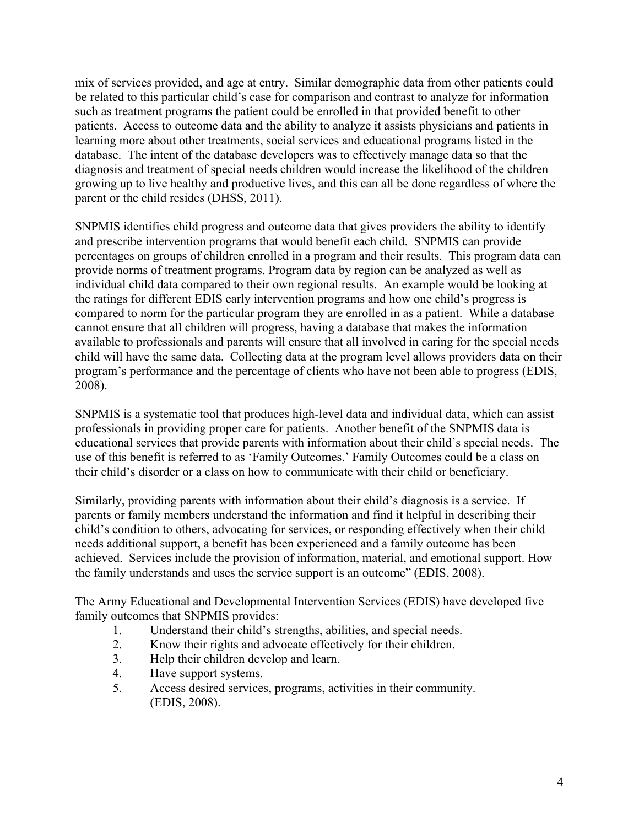mix of services provided, and age at entry. Similar demographic data from other patients could be related to this particular child's case for comparison and contrast to analyze for information such as treatment programs the patient could be enrolled in that provided benefit to other patients. Access to outcome data and the ability to analyze it assists physicians and patients in learning more about other treatments, social services and educational programs listed in the database. The intent of the database developers was to effectively manage data so that the diagnosis and treatment of special needs children would increase the likelihood of the children growing up to live healthy and productive lives, and this can all be done regardless of where the parent or the child resides (DHSS, 2011).

SNPMIS identifies child progress and outcome data that gives providers the ability to identify and prescribe intervention programs that would benefit each child. SNPMIS can provide percentages on groups of children enrolled in a program and their results. This program data can provide norms of treatment programs. Program data by region can be analyzed as well as individual child data compared to their own regional results. An example would be looking at the ratings for different EDIS early intervention programs and how one child's progress is compared to norm for the particular program they are enrolled in as a patient. While a database cannot ensure that all children will progress, having a database that makes the information available to professionals and parents will ensure that all involved in caring for the special needs child will have the same data. Collecting data at the program level allows providers data on their program's performance and the percentage of clients who have not been able to progress (EDIS, 2008).

SNPMIS is a systematic tool that produces high-level data and individual data, which can assist professionals in providing proper care for patients. Another benefit of the SNPMIS data is educational services that provide parents with information about their child's special needs. The use of this benefit is referred to as 'Family Outcomes.' Family Outcomes could be a class on their child's disorder or a class on how to communicate with their child or beneficiary.

Similarly, providing parents with information about their child's diagnosis is a service. If parents or family members understand the information and find it helpful in describing their child's condition to others, advocating for services, or responding effectively when their child needs additional support, a benefit has been experienced and a family outcome has been achieved. Services include the provision of information, material, and emotional support. How the family understands and uses the service support is an outcome" (EDIS, 2008).

The Army Educational and Developmental Intervention Services (EDIS) have developed five family outcomes that SNPMIS provides:

- 1. Understand their child's strengths, abilities, and special needs.<br>2. Know their rights and advocate effectively for their children.
- 2. Know their rights and advocate effectively for their children.
- 3. Help their children develop and learn.
- 4. Have support systems.
- 5. Access desired services, programs, activities in their community. (EDIS, 2008).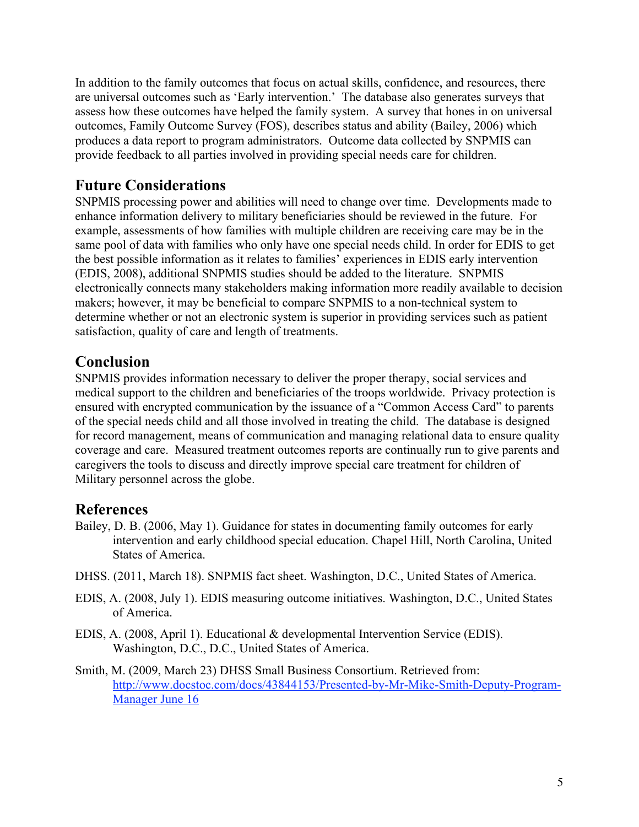In addition to the family outcomes that focus on actual skills, confidence, and resources, there are universal outcomes such as 'Early intervention.' The database also generates surveys that assess how these outcomes have helped the family system. A survey that hones in on universal outcomes, Family Outcome Survey (FOS), describes status and ability (Bailey, 2006) which produces a data report to program administrators. Outcome data collected by SNPMIS can provide feedback to all parties involved in providing special needs care for children.

## **Future Considerations**

SNPMIS processing power and abilities will need to change over time. Developments made to enhance information delivery to military beneficiaries should be reviewed in the future. For example, assessments of how families with multiple children are receiving care may be in the same pool of data with families who only have one special needs child. In order for EDIS to get the best possible information as it relates to families' experiences in EDIS early intervention (EDIS, 2008), additional SNPMIS studies should be added to the literature. SNPMIS electronically connects many stakeholders making information more readily available to decision makers; however, it may be beneficial to compare SNPMIS to a non-technical system to determine whether or not an electronic system is superior in providing services such as patient satisfaction, quality of care and length of treatments.

## **Conclusion**

SNPMIS provides information necessary to deliver the proper therapy, social services and medical support to the children and beneficiaries of the troops worldwide. Privacy protection is ensured with encrypted communication by the issuance of a "Common Access Card" to parents of the special needs child and all those involved in treating the child. The database is designed for record management, means of communication and managing relational data to ensure quality coverage and care. Measured treatment outcomes reports are continually run to give parents and caregivers the tools to discuss and directly improve special care treatment for children of Military personnel across the globe.

## **References**

- Bailey, D. B. (2006, May 1). Guidance for states in documenting family outcomes for early intervention and early childhood special education. Chapel Hill, North Carolina, United States of America.
- DHSS. (2011, March 18). SNPMIS fact sheet. Washington, D.C., United States of America.
- EDIS, A. (2008, July 1). EDIS measuring outcome initiatives. Washington, D.C., United States of America.
- EDIS, A. (2008, April 1). Educational & developmental Intervention Service (EDIS). Washington, D.C., D.C., United States of America.
- Smith, M. (2009, March 23) DHSS Small Business Consortium. Retrieved from: http://www.docstoc.com/docs/43844153/Presented-by-Mr-Mike-Smith-Deputy-Program-Manager June 16